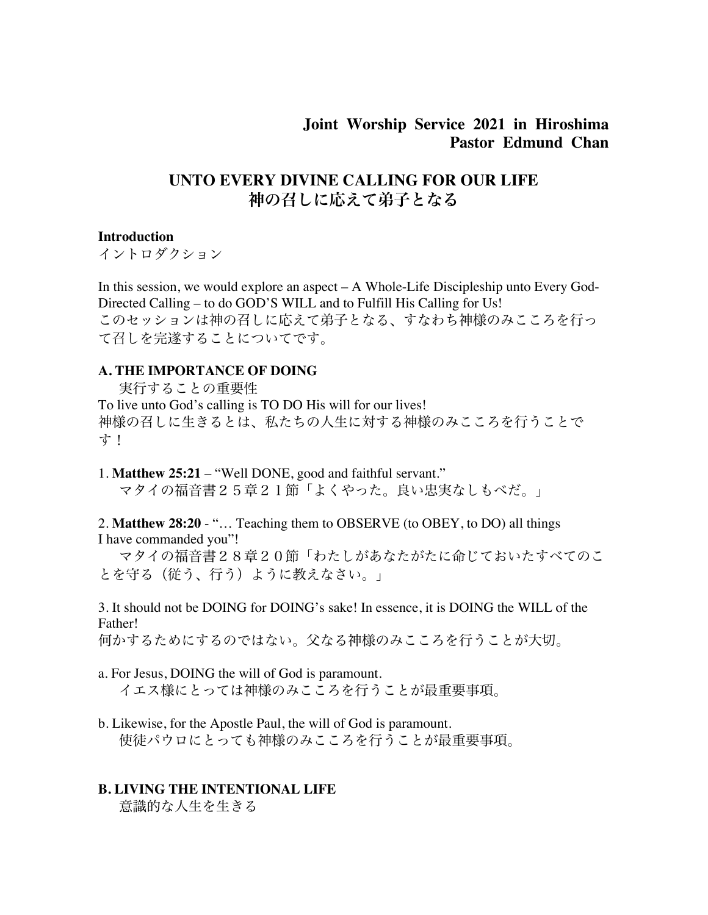## **Joint Worship Service 2021 in Hiroshima Pastor Edmund Chan**

# **UNTO EVERY DIVINE CALLING FOR OUR LIFE** 神の召しに応えて弟子となる

#### **Introduction**

イントロダクション

In this session, we would explore an aspect – A Whole-Life Discipleship unto Every God-Directed Calling – to do GOD'S WILL and to Fulfill His Calling for Us! このセッションは神の召しに応えて弟子となる、すなわち神様のみこころを行っ て召しを完遂することについてです。

#### **A. THE IMPORTANCE OF DOING**

 実行することの重要性 To live unto God's calling is TO DO His will for our lives! 神様の召しに生きるとは、私たちの人生に対する神様のみこころを行うことで す!

1. **Matthew 25:21** – "Well DONE, good and faithful servant."

マタイの福音書25章21節「よくやった。良い忠実なしもべだ。」

2. **Matthew 28:20** - "… Teaching them to OBSERVE (to OBEY, to DO) all things I have commanded you"!

マタイの福音書28章20節「わたしがあなたがたに命じておいたすべてのこ とを守る(従う、行う)ように教えなさい。」

3. It should not be DOING for DOING's sake! In essence, it is DOING the WILL of the Father!

何かするためにするのではない。父なる神様のみこころを行うことが大切。

- a. For Jesus, DOING the will of God is paramount. イエス様にとっては神様のみこころを行うことが最重要事項。
- b. Likewise, for the Apostle Paul, the will of God is paramount. 使徒パウロにとっても神様のみこころを行うことが最重要事項。

#### **B. LIVING THE INTENTIONAL LIFE**

意識的な人生を生きる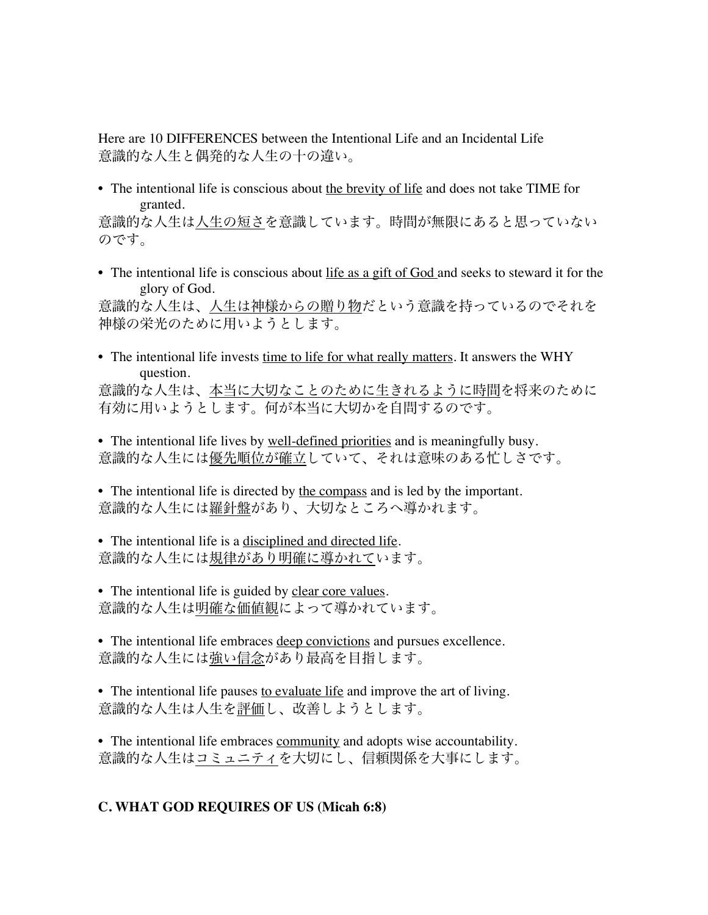Here are 10 DIFFERENCES between the Intentional Life and an Incidental Life 意識的な人生と偶発的な人生の十の違い。

• The intentional life is conscious about the brevity of life and does not take TIME for granted.

意識的な人生は人生の短さを意識しています。時間が無限にあると思っていない のです。

• The intentional life is conscious about life as a gift of God and seeks to steward it for the glory of God.

意識的な人生は、人生は神様からの贈り物だという意識を持っているのでそれを 神様の栄光のために用いようとします。

- The intentional life invests time to life for what really matters. It answers the WHY question. 意識的な人生は、本当に大切なことのために生きれるように時間を将来のために 有効に用いようとします。何が本当に大切かを自問するのです。
- The intentional life lives by well-defined priorities and is meaningfully busy. 意識的な人生には優先順位が確立していて、それは意味のある忙しさです。
- The intentional life is directed by the compass and is led by the important. 意識的な人生には羅針盤があり、大切なところへ導かれます。
- The intentional life is a disciplined and directed life. 意識的な人生には規律があり明確に導かれています。
- The intentional life is guided by clear core values. 意識的な人生は明確な価値観によって導かれています。
- The intentional life embraces deep convictions and pursues excellence. 意識的な人生には強い信念があり最高を目指します。
- The intentional life pauses to evaluate life and improve the art of living. 意識的な人生は人生を評価し、改善しようとします。
- The intentional life embraces community and adopts wise accountability. 意識的な人生はコミュニティを大切にし、信頼関係を大事にします。

### **C. WHAT GOD REQUIRES OF US (Micah 6:8)**